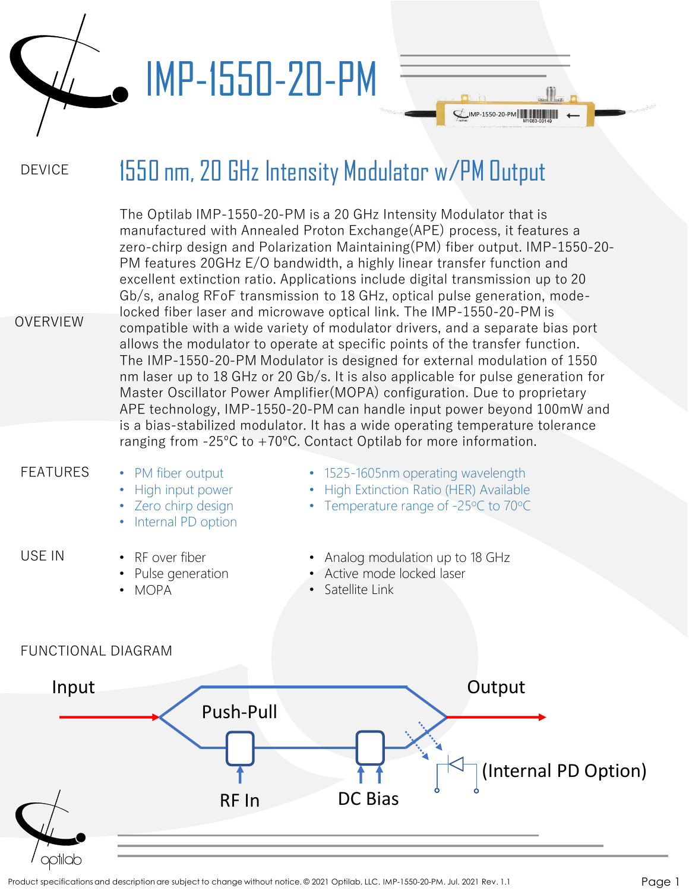

## IMP-1550-20-PM

#### DEVICE 1550 nm, 20 GHz Intensity Modulator w/PM Output

IMP-1550-20-PM

| <b>OVERVIEW</b>           | The Optilab IMP-1550-20-PM is a 20 GHz Intensity Modulator that is<br>manufactured with Annealed Proton Exchange (APE) process, it features a<br>zero-chirp design and Polarization Maintaining (PM) fiber output. IMP-1550-20-<br>PM features 20GHz E/O bandwidth, a highly linear transfer function and<br>excellent extinction ratio. Applications include digital transmission up to 20<br>Gb/s, analog RFoF transmission to 18 GHz, optical pulse generation, mode-<br>locked fiber laser and microwave optical link. The IMP-1550-20-PM is<br>compatible with a wide variety of modulator drivers, and a separate bias port<br>allows the modulator to operate at specific points of the transfer function.<br>The IMP-1550-20-PM Modulator is designed for external modulation of 1550<br>nm laser up to 18 GHz or 20 Gb/s. It is also applicable for pulse generation for<br>Master Oscillator Power Amplifier (MOPA) configuration. Due to proprietary<br>APE technology, IMP-1550-20-PM can handle input power beyond 100mW and<br>is a bias-stabilized modulator. It has a wide operating temperature tolerance |                                                                                                                                |  |  |  |  |
|---------------------------|----------------------------------------------------------------------------------------------------------------------------------------------------------------------------------------------------------------------------------------------------------------------------------------------------------------------------------------------------------------------------------------------------------------------------------------------------------------------------------------------------------------------------------------------------------------------------------------------------------------------------------------------------------------------------------------------------------------------------------------------------------------------------------------------------------------------------------------------------------------------------------------------------------------------------------------------------------------------------------------------------------------------------------------------------------------------------------------------------------------------------|--------------------------------------------------------------------------------------------------------------------------------|--|--|--|--|
|                           |                                                                                                                                                                                                                                                                                                                                                                                                                                                                                                                                                                                                                                                                                                                                                                                                                                                                                                                                                                                                                                                                                                                            | ranging from $-25^{\circ}$ C to $+70^{\circ}$ C. Contact Optilab for more information.                                         |  |  |  |  |
| <b>FEATURES</b>           | • PM fiber output<br>High input power<br>• Zero chirp design<br>Internal PD option                                                                                                                                                                                                                                                                                                                                                                                                                                                                                                                                                                                                                                                                                                                                                                                                                                                                                                                                                                                                                                         | • 1525-1605nm operating wavelength<br>High Extinction Ratio (HER) Available<br>$\bullet$<br>Temperature range of -25°C to 70°C |  |  |  |  |
| USE IN                    | • RF over fiber<br>• Pulse generation<br>• MOPA                                                                                                                                                                                                                                                                                                                                                                                                                                                                                                                                                                                                                                                                                                                                                                                                                                                                                                                                                                                                                                                                            | • Analog modulation up to 18 GHz<br>• Active mode locked laser<br>• Satellite Link                                             |  |  |  |  |
| <b>FUNCTIONAL DIAGRAM</b> |                                                                                                                                                                                                                                                                                                                                                                                                                                                                                                                                                                                                                                                                                                                                                                                                                                                                                                                                                                                                                                                                                                                            |                                                                                                                                |  |  |  |  |
| Input                     |                                                                                                                                                                                                                                                                                                                                                                                                                                                                                                                                                                                                                                                                                                                                                                                                                                                                                                                                                                                                                                                                                                                            | Output                                                                                                                         |  |  |  |  |

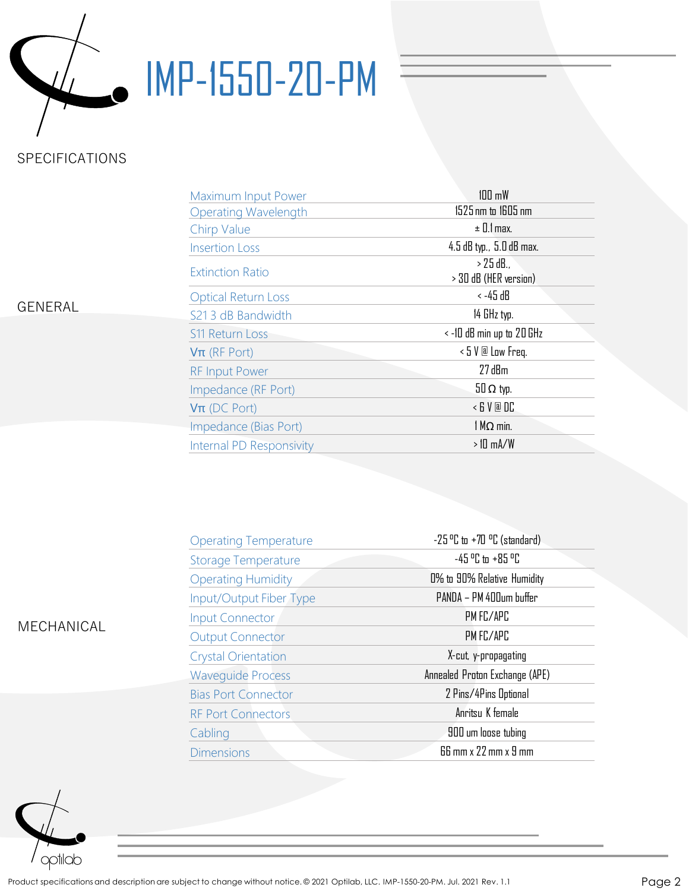

# IMP-1550-20-PM

## SPECIFICATIONS

| Maximum Input Power         | $100 \text{ mW}$                   |  |  |
|-----------------------------|------------------------------------|--|--|
| <b>Operating Wavelength</b> | 1525 nm to 1605 nm                 |  |  |
| <b>Chirp Value</b>          | $\pm$ 0.1 max.                     |  |  |
| <b>Insertion Loss</b>       | 4.5 dB typ., 5.0 dB max.           |  |  |
| <b>Extinction Ratio</b>     | > 25 dB.,<br>> 30 dB (HER version) |  |  |
| <b>Optical Return Loss</b>  | < -45 dB                           |  |  |
| S21 3 dB Bandwidth          | 14 GHz typ.                        |  |  |
| <b>S11 Return Loss</b>      | $\le$ -10 dB min up to 20 GHz      |  |  |
| $V\pi$ (RF Port)            | $\leq 5$ V @ Low Freq.             |  |  |
| <b>RF Input Power</b>       | $27$ dBm                           |  |  |
| Impedance (RF Port)         | $50 \Omega$ typ.                   |  |  |
| $V\pi$ (DC Port)            | $\leq$ 6 $V$ <b>a</b> $DC$         |  |  |
| Impedance (Bias Port)       | $1 M\Omega$ min.                   |  |  |
| Internal PD Responsivity    | $>10$ mA/W                         |  |  |

### GENERAL

|  |  | <b>GENERAL</b> |
|--|--|----------------|
|  |  |                |

| <b>Operating Temperature</b> | $-25$ °C to $+70$ °C (standard)      |  |  |
|------------------------------|--------------------------------------|--|--|
| <b>Storage Temperature</b>   | $-45$ °C to +85 °C                   |  |  |
| <b>Operating Humidity</b>    | 0% to 90% Relative Humidity          |  |  |
| Input/Output Fiber Type      | PANDA - PM 400um buffer              |  |  |
| <b>Input Connector</b>       | PM FC/APC                            |  |  |
| <b>Output Connector</b>      | PM FC/APC                            |  |  |
| <b>Crystal Orientation</b>   | X-cut, y-propagating                 |  |  |
| <b>Waveguide Process</b>     | Annealed Proton Exchange (APE)       |  |  |
| <b>Bias Port Connector</b>   | 2 Pins/4Pins Optional                |  |  |
| <b>RF Port Connectors</b>    | Anritsu K female                     |  |  |
| Cabling                      | 900 um loose tubing                  |  |  |
| <b>Dimensions</b>            | $66$ mm $\times$ 22 mm $\times$ 9 mm |  |  |



MECHANICAL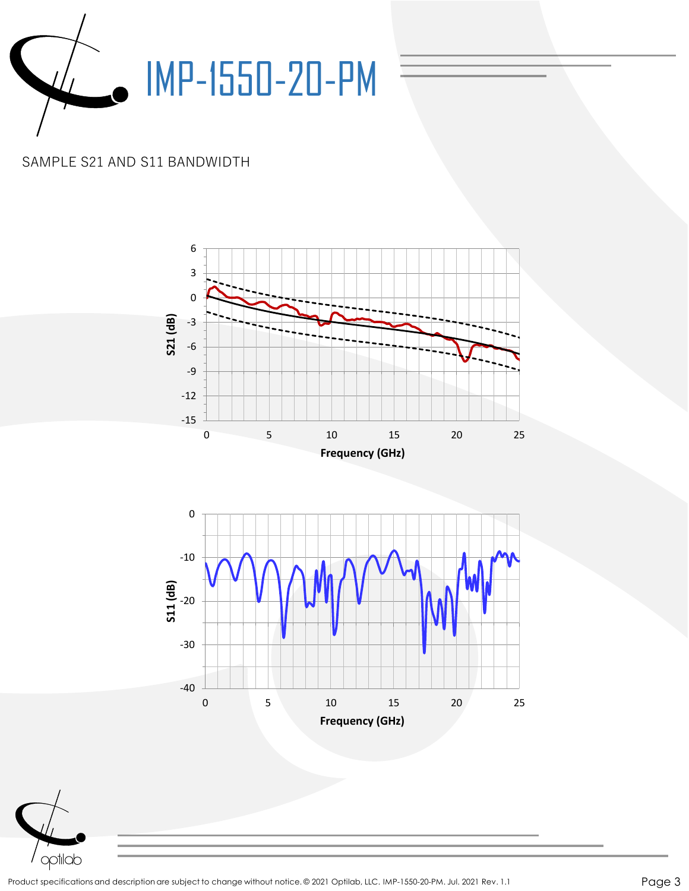

## SAMPLE S21 AND S11 BANDWIDTH





Product specifications and description are subject to change without notice. © 2021 Optilab, LLC. IMP-1550-20-PM. Jul. 2021 Rev. 1.1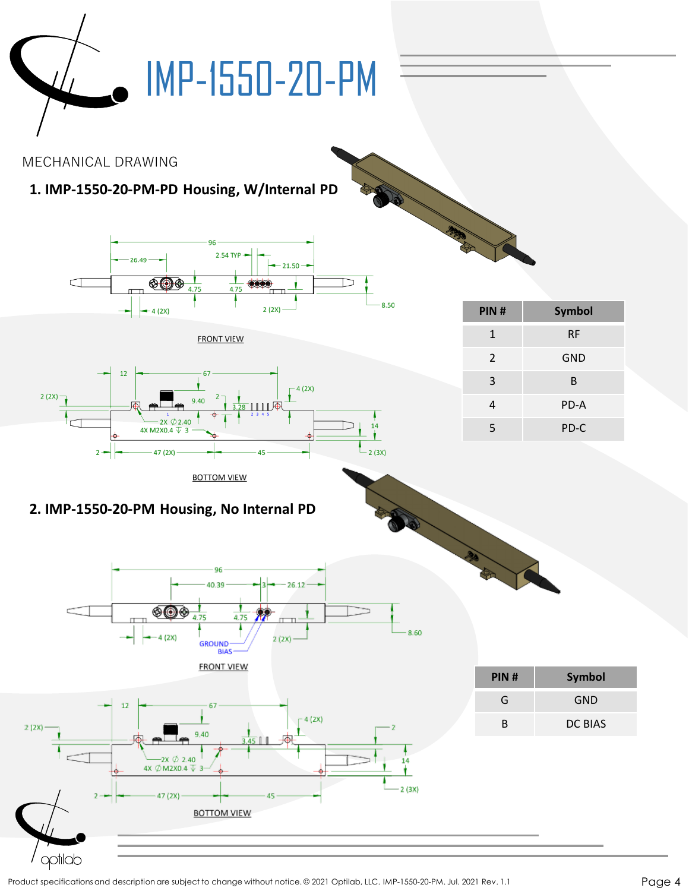